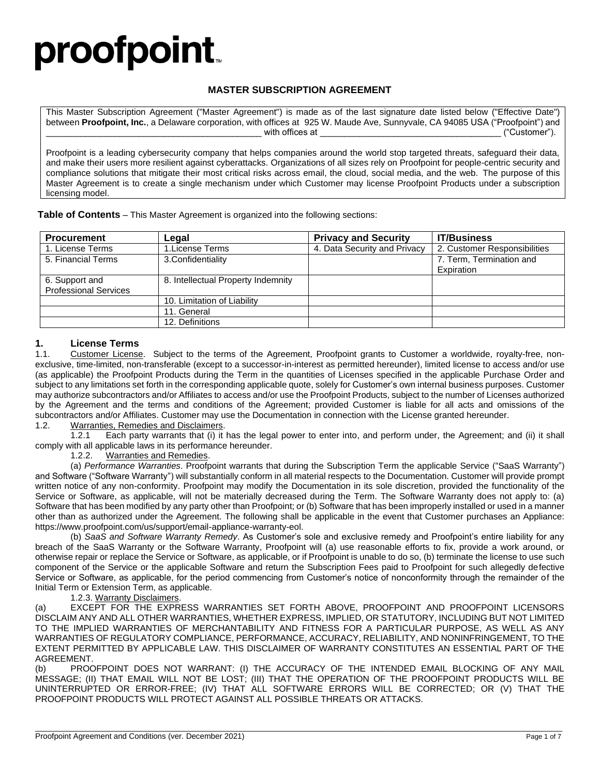# proofpoint.

#### **MASTER SUBSCRIPTION AGREEMENT**

This Master Subscription Agreement ("Master Agreement") is made as of the last signature date listed below ("Effective Date") between **Proofpoint, Inc.**, a Delaware corporation, with offices at 925 W. Maude Ave, Sunnyvale, CA 94085 USA ("Proofpoint") and  $\_$  with offices at  $\_$   $\_$  . The contract of the contract of  $\mathcal{C}^{*}$  ("Customer").

Proofpoint is a leading cybersecurity company that helps companies around the world stop targeted threats, safeguard their data, and make their users more resilient against cyberattacks. Organizations of all sizes rely on Proofpoint for people-centric security and compliance solutions that mitigate their most critical risks across email, the cloud, social media, and the web. The purpose of this Master Agreement is to create a single mechanism under which Customer may license Proofpoint Products under a subscription licensing model.

| <b>Procurement</b>           | Legal                              | <b>Privacy and Security</b>  | <b>IT/Business</b>           |
|------------------------------|------------------------------------|------------------------------|------------------------------|
| 1. License Terms             | 1. License Terms                   | 4. Data Security and Privacy | 2. Customer Responsibilities |
| 5. Financial Terms           | 3. Confidentiality                 |                              | 7. Term, Termination and     |
|                              |                                    |                              | Expiration                   |
| 6. Support and               | 8. Intellectual Property Indemnity |                              |                              |
| <b>Professional Services</b> |                                    |                              |                              |
|                              | 10. Limitation of Liability        |                              |                              |
|                              | 11. General                        |                              |                              |
|                              | 12. Definitions                    |                              |                              |

#### **1. License Terms**

1.1. Customer License. Subject to the terms of the Agreement, Proofpoint grants to Customer a worldwide, royalty-free, nonexclusive, time-limited, non-transferable (except to a successor-in-interest as permitted hereunder), limited license to access and/or use (as applicable) the Proofpoint Products during the Term in the quantities of Licenses specified in the applicable Purchase Order and subject to any limitations set forth in the corresponding applicable quote, solely for Customer's own internal business purposes. Customer may authorize subcontractors and/or Affiliates to access and/or use the Proofpoint Products, subject to the number of Licenses authorized by the Agreement and the terms and conditions of the Agreement; provided Customer is liable for all acts and omissions of the subcontractors and/or Affiliates. Customer may use the Documentation in connection with the License granted hereunder.

### 1.2. Warranties, Remedies and Disclaimers.<br>1.2.1 Each party warrants that (i) it

Each party warrants that (i) it has the legal power to enter into, and perform under, the Agreement; and (ii) it shall comply with all applicable laws in its performance hereunder.

1.2.2. Warranties and Remedies.

(a) *Performance Warranties*. Proofpoint warrants that during the Subscription Term the applicable Service ("SaaS Warranty") and Software ("Software Warranty") will substantially conform in all material respects to the Documentation. Customer will provide prompt written notice of any non-conformity. Proofpoint may modify the Documentation in its sole discretion, provided the functionality of the Service or Software, as applicable, will not be materially decreased during the Term. The Software Warranty does not apply to: (a) Software that has been modified by any party other than Proofpoint; or (b) Software that has been improperly installed or used in a manner other than as authorized under the Agreement. The following shall be applicable in the event that Customer purchases an Appliance: [https://www.proofpoint.com/us/support/email-appliance-warranty-eol.](https://www.proofpoint.com/us/support/email-appliance-warranty-eol)

(b) *SaaS and Software Warranty Remedy*. As Customer's sole and exclusive remedy and Proofpoint's entire liability for any breach of the SaaS Warranty or the Software Warranty, Proofpoint will (a) use reasonable efforts to fix, provide a work around, or otherwise repair or replace the Service or Software, as applicable, or if Proofpoint is unable to do so, (b) terminate the license to use such component of the Service or the applicable Software and return the Subscription Fees paid to Proofpoint for such allegedly defective Service or Software, as applicable, for the period commencing from Customer's notice of nonconformity through the remainder of the Initial Term or Extension Term, as applicable.

1.2.3. Warranty Disclaimers.

(a) EXCEPT FOR THE EXPRESS WARRANTIES SET FORTH ABOVE, PROOFPOINT AND PROOFPOINT LICENSORS DISCLAIM ANY AND ALL OTHER WARRANTIES, WHETHER EXPRESS, IMPLIED, OR STATUTORY, INCLUDING BUT NOT LIMITED TO THE IMPLIED WARRANTIES OF MERCHANTABILITY AND FITNESS FOR A PARTICULAR PURPOSE, AS WELL AS ANY WARRANTIES OF REGULATORY COMPLIANCE, PERFORMANCE, ACCURACY, RELIABILITY, AND NONINFRINGEMENT, TO THE EXTENT PERMITTED BY APPLICABLE LAW. THIS DISCLAIMER OF WARRANTY CONSTITUTES AN ESSENTIAL PART OF THE AGREEMENT.

(b) PROOFPOINT DOES NOT WARRANT: (I) THE ACCURACY OF THE INTENDED EMAIL BLOCKING OF ANY MAIL MESSAGE; (II) THAT EMAIL WILL NOT BE LOST; (III) THAT THE OPERATION OF THE PROOFPOINT PRODUCTS WILL BE UNINTERRUPTED OR ERROR-FREE; (IV) THAT ALL SOFTWARE ERRORS WILL BE CORRECTED; OR (V) THAT THE PROOFPOINT PRODUCTS WILL PROTECT AGAINST ALL POSSIBLE THREATS OR ATTACKS.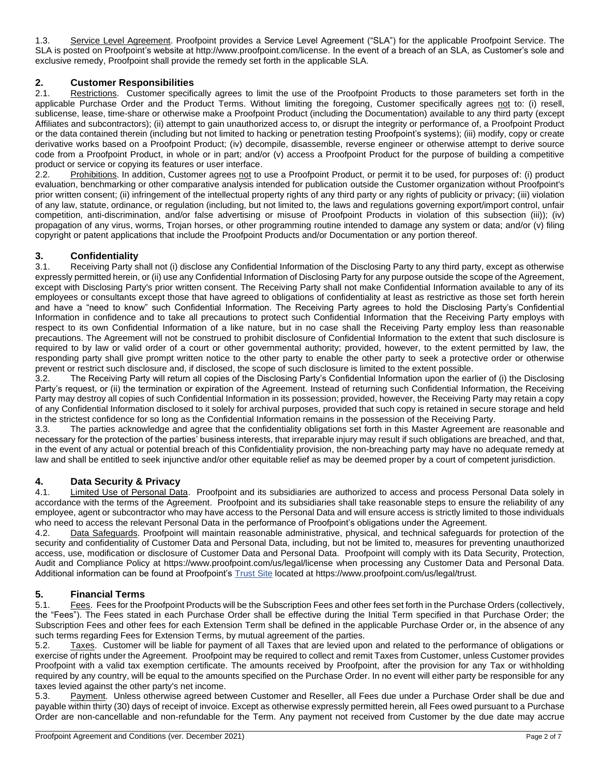1.3. Service Level Agreement. Proofpoint provides a Service Level Agreement ("SLA") for the applicable Proofpoint Service. The SLA is posted on Proofpoint's website at [http://www.proofpoint.com/license.](http://www.proofpoint.com/license) In the event of a breach of an SLA, as Customer's sole and exclusive remedy, Proofpoint shall provide the remedy set forth in the applicable SLA.

#### **2. Customer Responsibilities**

2.1. Restrictions. Customer specifically agrees to limit the use of the Proofpoint Products to those parameters set forth in the applicable Purchase Order and the Product Terms. Without limiting the foregoing, Customer specifically agrees not to: (i) resell, sublicense, lease, time-share or otherwise make a Proofpoint Product (including the Documentation) available to any third party (except Affiliates and subcontractors); (ii) attempt to gain unauthorized access to, or disrupt the integrity or performance of, a Proofpoint Product or the data contained therein (including but not limited to hacking or penetration testing Proofpoint's systems); (iii) modify, copy or create derivative works based on a Proofpoint Product; (iv) decompile, disassemble, reverse engineer or otherwise attempt to derive source code from a Proofpoint Product, in whole or in part; and/or (v) access a Proofpoint Product for the purpose of building a competitive product or service or copying its features or user interface.

2.2. Prohibitions. In addition, Customer agrees not to use a Proofpoint Product, or permit it to be used, for purposes of: (i) product evaluation, benchmarking or other comparative analysis intended for publication outside the Customer organization without Proofpoint's prior written consent; (ii) infringement of the intellectual property rights of any third party or any rights of publicity or privacy; (iii) violation of any law, statute, ordinance, or regulation (including, but not limited to, the laws and regulations governing export/import control, unfair competition, anti-discrimination, and/or false advertising or misuse of Proofpoint Products in violation of this subsection (iii)); (iv) propagation of any virus, worms, Trojan horses, or other programming routine intended to damage any system or data; and/or (v) filing copyright or patent applications that include the Proofpoint Products and/or Documentation or any portion thereof.

## **3. Confidentiality**

Receiving Party shall not (i) disclose any Confidential Information of the Disclosing Party to any third party, except as otherwise expressly permitted herein, or (ii) use any Confidential Information of Disclosing Party for any purpose outside the scope of the Agreement, except with Disclosing Party's prior written consent. The Receiving Party shall not make Confidential Information available to any of its employees or consultants except those that have agreed to obligations of confidentiality at least as restrictive as those set forth herein and have a "need to know" such Confidential Information. The Receiving Party agrees to hold the Disclosing Party's Confidential Information in confidence and to take all precautions to protect such Confidential Information that the Receiving Party employs with respect to its own Confidential Information of a like nature, but in no case shall the Receiving Party employ less than reasonable precautions. The Agreement will not be construed to prohibit disclosure of Confidential Information to the extent that such disclosure is required to by law or valid order of a court or other governmental authority; provided, however, to the extent permitted by law, the responding party shall give prompt written notice to the other party to enable the other party to seek a protective order or otherwise prevent or restrict such disclosure and, if disclosed, the scope of such disclosure is limited to the extent possible.

3.2. The Receiving Party will return all copies of the Disclosing Party's Confidential Information upon the earlier of (i) the Disclosing Party's request, or (ii) the termination or expiration of the Agreement. Instead of returning such Confidential Information, the Receiving Party may destroy all copies of such Confidential Information in its possession; provided, however, the Receiving Party may retain a copy of any Confidential Information disclosed to it solely for archival purposes, provided that such copy is retained in secure storage and held in the strictest confidence for so long as the Confidential Information remains in the possession of the Receiving Party.

3.3. The parties acknowledge and agree that the confidentiality obligations set forth in this Master Agreement are reasonable and necessary for the protection of the parties' business interests, that irreparable injury may result if such obligations are breached, and that, in the event of any actual or potential breach of this Confidentiality provision, the non-breaching party may have no adequate remedy at law and shall be entitled to seek injunctive and/or other equitable relief as may be deemed proper by a court of competent jurisdiction.

#### **4. Data Security & Privacy**

4.1. Limited Use of Personal Data. Proofpoint and its subsidiaries are authorized to access and process Personal Data solely in accordance with the terms of the Agreement. Proofpoint and its subsidiaries shall take reasonable steps to ensure the reliability of any employee, agent or subcontractor who may have access to the Personal Data and will ensure access is strictly limited to those individuals who need to access the relevant Personal Data in the performance of Proofpoint's obligations under the Agreement.

4.2. Data Safeguards. Proofpoint will maintain reasonable administrative, physical, and technical safeguards for protection of the security and confidentiality of Customer Data and Personal Data, including, but not be limited to, measures for preventing unauthorized access, use, modification or disclosure of Customer Data and Personal Data. Proofpoint will comply with its Data Security, Protection, Audit and Compliance Policy at<https://www.proofpoint.com/us/legal/license> when processing any Customer Data and Personal Data. Additional information can be found at Proofpoint's [Trust Site](https://www.proofpoint.com/legal/trust) located at [https://www.proofpoint.com/us/legal/trust.](https://www.proofpoint.com/us/legal/trust)

#### **5. Financial Terms**

5.1. Fees. Fees for the Proofpoint Products will be the Subscription Fees and other fees set forth in the Purchase Orders (collectively, the "Fees"). The Fees stated in each Purchase Order shall be effective during the Initial Term specified in that Purchase Order; the Subscription Fees and other fees for each Extension Term shall be defined in the applicable Purchase Order or, in the absence of any such terms regarding Fees for Extension Terms, by mutual agreement of the parties.

5.2. Taxes. Customer will be liable for payment of all Taxes that are levied upon and related to the performance of obligations or exercise of rights under the Agreement. Proofpoint may be required to collect and remit Taxes from Customer, unless Customer provides Proofpoint with a valid tax exemption certificate. The amounts received by Proofpoint, after the provision for any Tax or withholding required by any country, will be equal to the amounts specified on the Purchase Order. In no event will either party be responsible for any taxes levied against the other party's net income.

5.3. Payment. Unless otherwise agreed between Customer and Reseller, all Fees due under a Purchase Order shall be due and payable within thirty (30) days of receipt of invoice. Except as otherwise expressly permitted herein, all Fees owed pursuant to a Purchase Order are non-cancellable and non-refundable for the Term. Any payment not received from Customer by the due date may accrue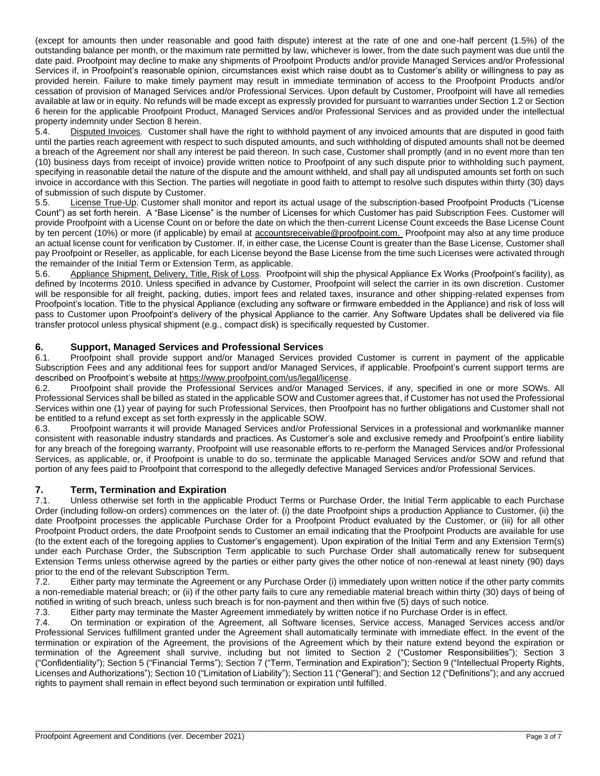(except for amounts then under reasonable and good faith dispute) interest at the rate of one and one-half percent (1.5%) of the outstanding balance per month, or the maximum rate permitted by law, whichever is lower, from the date such payment was due until the date paid. Proofpoint may decline to make any shipments of Proofpoint Products and/or provide Managed Services and/or Professional Services if, in Proofpoint's reasonable opinion, circumstances exist which raise doubt as to Customer's ability or willingness to pay as provided herein. Failure to make timely payment may result in immediate termination of access to the Proofpoint Products and/or cessation of provision of Managed Services and/or Professional Services. Upon default by Customer, Proofpoint will have all remedies available at law or in equity. No refunds will be made except as expressly provided for pursuant to warranties under Section 1.2 or Section 6 herein for the applicable Proofpoint Product, Managed Services and/or Professional Services and as provided under the intellectual property indemnity under Section 8 herein.

5.4. Disputed Invoices. Customer shall have the right to withhold payment of any invoiced amounts that are disputed in good faith until the parties reach agreement with respect to such disputed amounts, and such withholding of disputed amounts shall not be deemed a breach of the Agreement nor shall any interest be paid thereon. In such case, Customer shall promptly (and in no event more than ten (10) business days from receipt of invoice) provide written notice to Proofpoint of any such dispute prior to withholding such payment, specifying in reasonable detail the nature of the dispute and the amount withheld, and shall pay all undisputed amounts set forth on such invoice in accordance with this Section. The parties will negotiate in good faith to attempt to resolve such disputes within thirty (30) days of submission of such dispute by Customer.

5.5. License True-Up. Customer shall monitor and report its actual usage of the subscription-based Proofpoint Products ("License Count") as set forth herein. A "Base License" is the number of Licenses for which Customer has paid Subscription Fees. Customer will provide Proofpoint with a License Count on or before the date on which the then-current License Count exceeds the Base License Count by ten percent (10%) or more (if applicable) by email at [accountsreceivable@proofpoint.com.](mailto:accountsreceivable@proofpoint.com) Proofpoint may also at any time produce an actual license count for verification by Customer. If, in either case, the License Count is greater than the Base License, Customer shall pay Proofpoint or Reseller, as applicable, for each License beyond the Base License from the time such Licenses were activated through the remainder of the Initial Term or Extension Term, as applicable.

5.6. Appliance Shipment, Delivery, Title, Risk of Loss. Proofpoint will ship the physical Appliance Ex Works (Proofpoint's facility), as defined by Incoterms 2010. Unless specified in advance by Customer, Proofpoint will select the carrier in its own discretion. Customer will be responsible for all freight, packing, duties, import fees and related taxes, insurance and other shipping-related expenses from Proofpoint's location. Title to the physical Appliance (excluding any software or firmware embedded in the Appliance) and risk of loss will pass to Customer upon Proofpoint's delivery of the physical Appliance to the carrier. Any Software Updates shall be delivered via file transfer protocol unless physical shipment (e.g., compact disk) is specifically requested by Customer.

#### **6. Support, Managed Services and Professional Services**

6.1. Proofpoint shall provide support and/or Managed Services provided Customer is current in payment of the applicable Subscription Fees and any additional fees for support and/or Managed Services, if applicable. Proofpoint's current support terms are described on Proofpoint's website at [https://www.proofpoint.com/us/legal/license.](https://www.proofpoint.com/us/legal/license)

6.2. Proofpoint shall provide the Professional Services and/or Managed Services, if any, specified in one or more SOWs. All Professional Services shall be billed as stated in the applicable SOW and Customer agrees that, if Customer has not used the Professional Services within one (1) year of paying for such Professional Services, then Proofpoint has no further obligations and Customer shall not be entitled to a refund except as set forth expressly in the applicable SOW.

6.3. Proofpoint warrants it will provide Managed Services and/or Professional Services in a professional and workmanlike manner consistent with reasonable industry standards and practices. As Customer's sole and exclusive remedy and Proofpoint's entire liability for any breach of the foregoing warranty, Proofpoint will use reasonable efforts to re-perform the Managed Services and/or Professional Services, as applicable, or, if Proofpoint is unable to do so, terminate the applicable Managed Services and/or SOW and refund that portion of any fees paid to Proofpoint that correspond to the allegedly defective Managed Services and/or Professional Services.

#### **7. Term, Termination and Expiration**

7.1. Unless otherwise set forth in the applicable Product Terms or Purchase Order, the Initial Term applicable to each Purchase Order (including follow-on orders) commences on the later of: (i) the date Proofpoint ships a production Appliance to Customer, (ii) the date Proofpoint processes the applicable Purchase Order for a Proofpoint Product evaluated by the Customer, or (iii) for all other Proofpoint Product orders, the date Proofpoint sends to Customer an email indicating that the Proofpoint Products are available for use (to the extent each of the foregoing applies to Customer's engagement). Upon expiration of the Initial Term and any Extension Term(s) under each Purchase Order, the Subscription Term applicable to such Purchase Order shall automatically renew for subsequent Extension Terms unless otherwise agreed by the parties or either party gives the other notice of non-renewal at least ninety (90) days prior to the end of the relevant Subscription Term.

7.2. Either party may terminate the Agreement or any Purchase Order (i) immediately upon written notice if the other party commits a non-remediable material breach; or (ii) if the other party fails to cure any remediable material breach within thirty (30) days of being of notified in writing of such breach, unless such breach is for non-payment and then within five (5) days of such notice.

7.3. Either party may terminate the Master Agreement immediately by written notice if no Purchase Order is in effect.

7.4. On termination or expiration of the Agreement, all Software licenses, Service access, Managed Services access and/or Professional Services fulfillment granted under the Agreement shall automatically terminate with immediate effect. In the event of the termination or expiration of the Agreement, the provisions of the Agreement which by their nature extend beyond the expiration or termination of the Agreement shall survive, including but not limited to Section 2 ("Customer Responsibilities"); Section 3 ("Confidentiality"); Section 5 ("Financial Terms"); Section 7 ("Term, Termination and Expiration"); Section 9 ("Intellectual Property Rights, Licenses and Authorizations"); Section 10 ("Limitation of Liability"); Section 11 ("General"); and Section 12 ("Definitions"); and any accrued rights to payment shall remain in effect beyond such termination or expiration until fulfilled.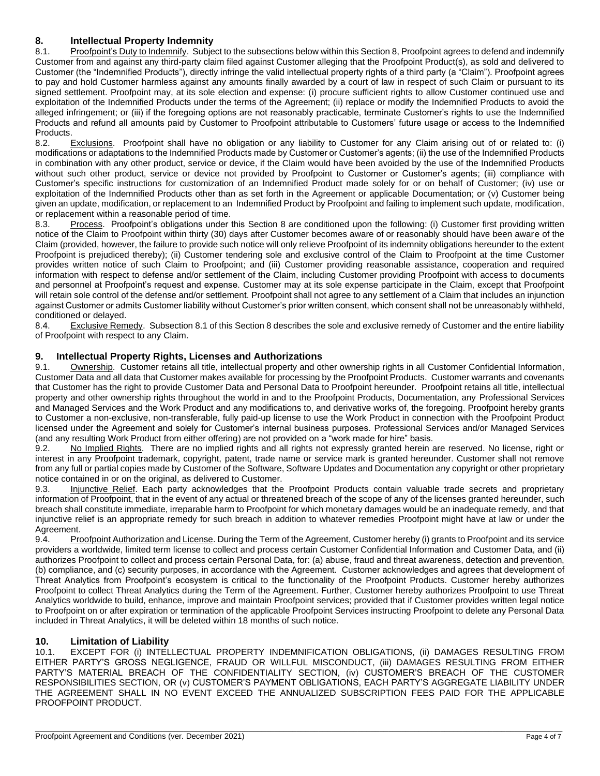#### **8. Intellectual Property Indemnity**

8.1. Proofpoint's Duty to Indemnify. Subject to the subsections below within this Section 8, Proofpoint agrees to defend and indemnify Customer from and against any third-party claim filed against Customer alleging that the Proofpoint Product(s), as sold and delivered to Customer (the "Indemnified Products"), directly infringe the valid intellectual property rights of a third party (a "Claim"). Proofpoint agrees to pay and hold Customer harmless against any amounts finally awarded by a court of law in respect of such Claim or pursuant to its signed settlement. Proofpoint may, at its sole election and expense: (i) procure sufficient rights to allow Customer continued use and exploitation of the Indemnified Products under the terms of the Agreement; (ii) replace or modify the Indemnified Products to avoid the alleged infringement; or (iii) if the foregoing options are not reasonably practicable, terminate Customer's rights to use the Indemnified Products and refund all amounts paid by Customer to Proofpoint attributable to Customers' future usage or access to the Indemnified Products.

8.2. Exclusions. Proofpoint shall have no obligation or any liability to Customer for any Claim arising out of or related to: (i) modifications or adaptations to the Indemnified Products made by Customer or Customer's agents; (ii) the use of the Indemnified Products in combination with any other product, service or device, if the Claim would have been avoided by the use of the Indemnified Products without such other product, service or device not provided by Proofpoint to Customer or Customer's agents; (iii) compliance with Customer's specific instructions for customization of an Indemnified Product made solely for or on behalf of Customer; (iv) use or exploitation of the Indemnified Products other than as set forth in the Agreement or applicable Documentation; or (v) Customer being given an update, modification, or replacement to an Indemnified Product by Proofpoint and failing to implement such update, modification, or replacement within a reasonable period of time.

8.3. Process. Proofpoint's obligations under this Section 8 are conditioned upon the following: (i) Customer first providing written notice of the Claim to Proofpoint within thirty (30) days after Customer becomes aware of or reasonably should have been aware of the Claim (provided, however, the failure to provide such notice will only relieve Proofpoint of its indemnity obligations hereunder to the extent Proofpoint is prejudiced thereby); (ii) Customer tendering sole and exclusive control of the Claim to Proofpoint at the time Customer provides written notice of such Claim to Proofpoint; and (iii) Customer providing reasonable assistance, cooperation and required information with respect to defense and/or settlement of the Claim, including Customer providing Proofpoint with access to documents and personnel at Proofpoint's request and expense. Customer may at its sole expense participate in the Claim, except that Proofpoint will retain sole control of the defense and/or settlement. Proofpoint shall not agree to any settlement of a Claim that includes an injunction against Customer or admits Customer liability without Customer's prior written consent, which consent shall not be unreasonably withheld, conditioned or delayed.

8.4. Exclusive Remedy. Subsection 8.1 of this Section 8 describes the sole and exclusive remedy of Customer and the entire liability of Proofpoint with respect to any Claim.

#### **9. Intellectual Property Rights, Licenses and Authorizations**

9.1. Ownership. Customer retains all title, intellectual property and other ownership rights in all Customer Confidential Information, Customer Data and all data that Customer makes available for processing by the Proofpoint Products. Customer warrants and covenants that Customer has the right to provide Customer Data and Personal Data to Proofpoint hereunder. Proofpoint retains all title, intellectual property and other ownership rights throughout the world in and to the Proofpoint Products, Documentation, any Professional Services and Managed Services and the Work Product and any modifications to, and derivative works of, the foregoing. Proofpoint hereby grants to Customer a non-exclusive, non-transferable, fully paid-up license to use the Work Product in connection with the Proofpoint Product licensed under the Agreement and solely for Customer's internal business purposes. Professional Services and/or Managed Services (and any resulting Work Product from either offering) are not provided on a "work made for hire" basis.

9.2. No Implied Rights.There are no implied rights and all rights not expressly granted herein are reserved. No license, right or interest in any Proofpoint trademark, copyright, patent, trade name or service mark is granted hereunder. Customer shall not remove from any full or partial copies made by Customer of the Software, Software Updates and Documentation any copyright or other proprietary notice contained in or on the original, as delivered to Customer.

9.3. Injunctive Relief. Each party acknowledges that the Proofpoint Products contain valuable trade secrets and proprietary information of Proofpoint, that in the event of any actual or threatened breach of the scope of any of the licenses granted hereunder, such breach shall constitute immediate, irreparable harm to Proofpoint for which monetary damages would be an inadequate remedy, and that injunctive relief is an appropriate remedy for such breach in addition to whatever remedies Proofpoint might have at law or under the Agreement.

9.4. Proofpoint Authorization and License. During the Term of the Agreement, Customer hereby (i) grants to Proofpoint and its service providers a worldwide, limited term license to collect and process certain Customer Confidential Information and Customer Data, and (ii) authorizes Proofpoint to collect and process certain Personal Data, for: (a) abuse, fraud and threat awareness, detection and prevention, (b) compliance, and (c) security purposes, in accordance with the Agreement. Customer acknowledges and agrees that development of Threat Analytics from Proofpoint's ecosystem is critical to the functionality of the Proofpoint Products. Customer hereby authorizes Proofpoint to collect Threat Analytics during the Term of the Agreement. Further, Customer hereby authorizes Proofpoint to use Threat Analytics worldwide to build, enhance, improve and maintain Proofpoint services; provided that if Customer provides written legal notice to Proofpoint on or after expiration or termination of the applicable Proofpoint Services instructing Proofpoint to delete any Personal Data included in Threat Analytics, it will be deleted within 18 months of such notice.

#### **10. Limitation of Liability**

10.1. EXCEPT FOR (i) INTELLECTUAL PROPERTY INDEMNIFICATION OBLIGATIONS, (ii) DAMAGES RESULTING FROM EITHER PARTY'S GROSS NEGLIGENCE, FRAUD OR WILLFUL MISCONDUCT, (iii) DAMAGES RESULTING FROM EITHER PARTY'S MATERIAL BREACH OF THE CONFIDENTIALITY SECTION, (iv) CUSTOMER'S BREACH OF THE CUSTOMER RESPONSIBILITIES SECTION, OR (v) CUSTOMER'S PAYMENT OBLIGATIONS, EACH PARTY'S AGGREGATE LIABILITY UNDER THE AGREEMENT SHALL IN NO EVENT EXCEED THE ANNUALIZED SUBSCRIPTION FEES PAID FOR THE APPLICABLE PROOFPOINT PRODUCT.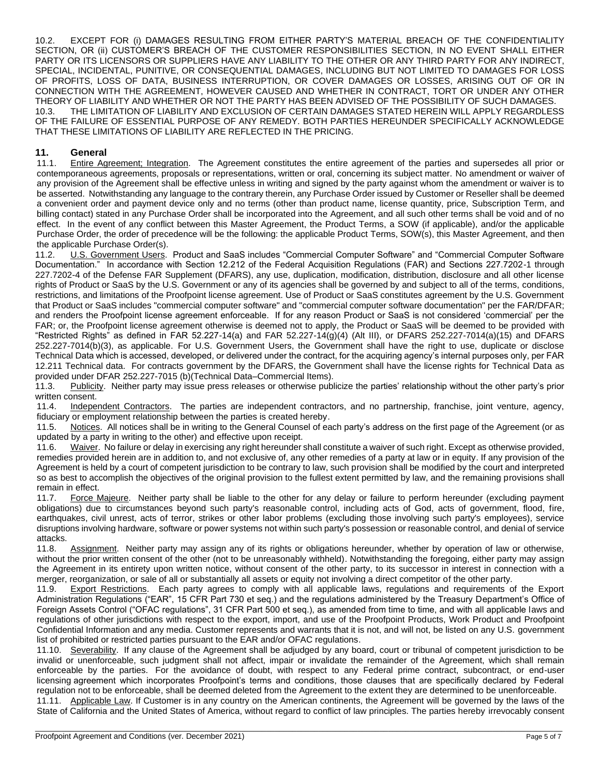10.2. EXCEPT FOR (i) DAMAGES RESULTING FROM EITHER PARTY'S MATERIAL BREACH OF THE CONFIDENTIALITY SECTION, OR (ii) CUSTOMER'S BREACH OF THE CUSTOMER RESPONSIBILITIES SECTION, IN NO EVENT SHALL EITHER PARTY OR ITS LICENSORS OR SUPPLIERS HAVE ANY LIABILITY TO THE OTHER OR ANY THIRD PARTY FOR ANY INDIRECT, SPECIAL, INCIDENTAL, PUNITIVE, OR CONSEQUENTIAL DAMAGES, INCLUDING BUT NOT LIMITED TO DAMAGES FOR LOSS OF PROFITS, LOSS OF DATA, BUSINESS INTERRUPTION, OR COVER DAMAGES OR LOSSES, ARISING OUT OF OR IN CONNECTION WITH THE AGREEMENT, HOWEVER CAUSED AND WHETHER IN CONTRACT, TORT OR UNDER ANY OTHER THEORY OF LIABILITY AND WHETHER OR NOT THE PARTY HAS BEEN ADVISED OF THE POSSIBILITY OF SUCH DAMAGES. 10.3. THE LIMITATION OF LIABILITY AND EXCLUSION OF CERTAIN DAMAGES STATED HEREIN WILL APPLY REGARDLESS OF THE FAILURE OF ESSENTIAL PURPOSE OF ANY REMEDY. BOTH PARTIES HEREUNDER SPECIFICALLY ACKNOWLEDGE THAT THESE LIMITATIONS OF LIABILITY ARE REFLECTED IN THE PRICING.

#### **11. General**

11.1. Entire Agreement; Integration. The Agreement constitutes the entire agreement of the parties and supersedes all prior or contemporaneous agreements, proposals or representations, written or oral, concerning its subject matter. No amendment or waiver of any provision of the Agreement shall be effective unless in writing and signed by the party against whom the amendment or waiver is to be asserted. Notwithstanding any language to the contrary therein, any Purchase Order issued by Customer or Reseller shall be deemed a convenient order and payment device only and no terms (other than product name, license quantity, price, Subscription Term, and billing contact) stated in any Purchase Order shall be incorporated into the Agreement, and all such other terms shall be void and of no effect. In the event of any conflict between this Master Agreement, the Product Terms, a SOW (if applicable), and/or the applicable Purchase Order, the order of precedence will be the following: the applicable Product Terms, SOW(s), this Master Agreement, and then the applicable Purchase Order(s).

11.2. **U.S. Government Users.** Product and SaaS includes "Commercial Computer Software" and "Commercial Computer Software Documentation." In accordance with Section 12.212 of the Federal Acquisition Regulations (FAR) and Sections 227.7202-1 through 227.7202-4 of the Defense FAR Supplement (DFARS), any use, duplication, modification, distribution, disclosure and all other license rights of Product or SaaS by the U.S. Government or any of its agencies shall be governed by and subject to all of the terms, conditions, restrictions, and limitations of the Proofpoint license agreement. Use of Product or SaaS constitutes agreement by the U.S. Government that Product or SaaS includes "commercial computer software" and "commercial computer software documentation" per the FAR/DFAR; and renders the Proofpoint license agreement enforceable. If for any reason Product or SaaS is not considered 'commercial' per the FAR; or, the Proofpoint license agreement otherwise is deemed not to apply, the Product or SaaS will be deemed to be provided with "Restricted Rights" as defined in FAR 52.227-14(a) and FAR 52.227-14(g)(4) (Alt III), or DFARS 252.227-7014(a)(15) and DFARS 252.227-7014(b)(3), as applicable. For U.S. Government Users, the Government shall have the right to use, duplicate or disclose Technical Data which is accessed, developed, or delivered under the contract, for the acquiring agency's internal purposes only, per FAR 12.211 Technical data. For contracts government by the DFARS, the Government shall have the license rights for Technical Data as provided under DFAR 252.227-7015 (b)(Technical Data–Commercial Items).

11.3. Publicity. Neither party may issue press releases or otherwise publicize the parties' relationship without the other party's prior written consent.

11.4. Independent Contractors. The parties are independent contractors, and no partnership, franchise, joint venture, agency, fiduciary or employment relationship between the parties is created hereby.

11.5. Notices. All notices shall be in writing to the General Counsel of each party's address on the first page of the Agreement (or as updated by a party in writing to the other) and effective upon receipt.

11.6. Waiver. No failure or delay in exercising any right hereunder shall constitute a waiver of such right. Except as otherwise provided, remedies provided herein are in addition to, and not exclusive of, any other remedies of a party at law or in equity. If any provision of the Agreement is held by a court of competent jurisdiction to be contrary to law, such provision shall be modified by the court and interpreted so as best to accomplish the objectives of the original provision to the fullest extent permitted by law, and the remaining provisions shall remain in effect.

11.7. Force Majeure. Neither party shall be liable to the other for any delay or failure to perform hereunder (excluding payment obligations) due to circumstances beyond such party's reasonable control, including acts of God, acts of government, flood, fire, earthquakes, civil unrest, acts of terror, strikes or other labor problems (excluding those involving such party's employees), service disruptions involving hardware, software or power systems not within such party's possession or reasonable control, and denial of service attacks.

11.8. Assignment. Neither party may assign any of its rights or obligations hereunder, whether by operation of law or otherwise, without the prior written consent of the other (not to be unreasonably withheld). Notwithstanding the foregoing, either party may assign the Agreement in its entirety upon written notice, without consent of the other party, to its successor in interest in connection with a merger, reorganization, or sale of all or substantially all assets or equity not involving a direct competitor of the other party.

11.9. Export Restrictions. Each party agrees to comply with all applicable laws, regulations and requirements of the Export Administration Regulations ("EAR", 15 CFR Part 730 et seq.) and the regulations administered by the Treasury Department's Office of Foreign Assets Control ("OFAC regulations", 31 CFR Part 500 et seq.), as amended from time to time, and with all applicable laws and regulations of other jurisdictions with respect to the export, import, and use of the Proofpoint Products, Work Product and Proofpoint Confidential Information and any media. Customer represents and warrants that it is not, and will not, be listed on any U.S. government list of prohibited or restricted parties pursuant to the EAR and/or OFAC regulations.

11.10. Severability. If any clause of the Agreement shall be adjudged by any board, court or tribunal of competent jurisdiction to be invalid or unenforceable, such judgment shall not affect, impair or invalidate the remainder of the Agreement, which shall remain enforceable by the parties. For the avoidance of doubt, with respect to any Federal prime contract, subcontract, or end-user licensing agreement which incorporates Proofpoint's terms and conditions, those clauses that are specifically declared by Federal regulation not to be enforceable, shall be deemed deleted from the Agreement to the extent they are determined to be unenforceable.

11.11. Applicable Law. If Customer is in any country on the American continents, the Agreement will be governed by the laws of the State of California and the United States of America, without regard to conflict of law principles. The parties hereby irrevocably consent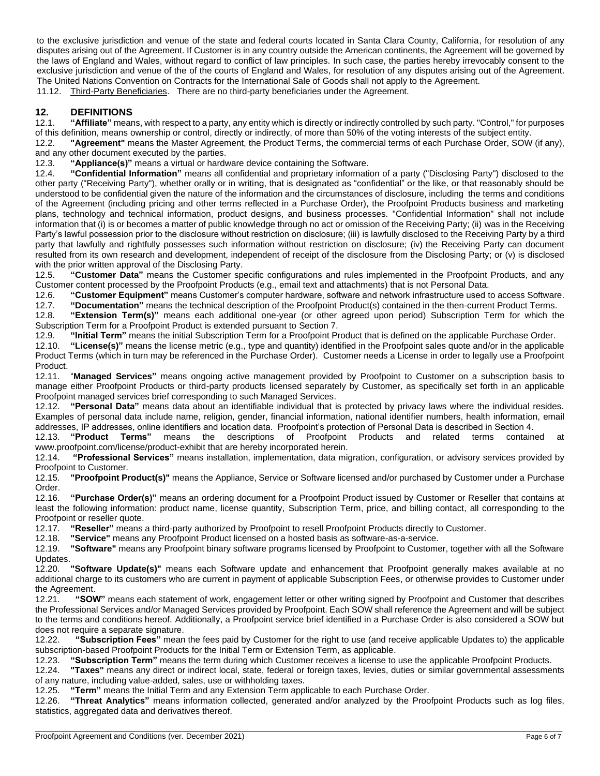to the exclusive jurisdiction and venue of the state and federal courts located in Santa Clara County, California, for resolution of any disputes arising out of the Agreement. If Customer is in any country outside the American continents, the Agreement will be governed by the laws of England and Wales, without regard to conflict of law principles. In such case, the parties hereby irrevocably consent to the exclusive jurisdiction and venue of the of the courts of England and Wales, for resolution of any disputes arising out of the Agreement. The United Nations Convention on Contracts for the International Sale of Goods shall not apply to the Agreement. 11.12. Third-Party Beneficiaries. There are no third-party beneficiaries under the Agreement.

#### **12. DEFINITIONS**

12.1. **"Affiliate"** means, with respect to a party, any entity which is directly or indirectly controlled by such party. "Control," for purposes of this definition, means ownership or control, directly or indirectly, of more than 50% of the voting interests of the subject entity.

12.2. **"Agreement"** means the Master Agreement, the Product Terms, the commercial terms of each Purchase Order, SOW (if any), and any other document executed by the parties.

12.3. **"Appliance(s)"** means a virtual or hardware device containing the Software.

12.4. **"Confidential Information"** means all confidential and proprietary information of a party ("Disclosing Party") disclosed to the other party ("Receiving Party"), whether orally or in writing, that is designated as "confidential" or the like, or that reasonably should be understood to be confidential given the nature of the information and the circumstances of disclosure, including the terms and conditions of the Agreement (including pricing and other terms reflected in a Purchase Order), the Proofpoint Products business and marketing plans, technology and technical information, product designs, and business processes. "Confidential Information" shall not include information that (i) is or becomes a matter of public knowledge through no act or omission of the Receiving Party; (ii) was in the Receiving Party's lawful possession prior to the disclosure without restriction on disclosure; (iii) is lawfully disclosed to the Receiving Party by a third party that lawfully and rightfully possesses such information without restriction on disclosure; (iv) the Receiving Party can document resulted from its own research and development, independent of receipt of the disclosure from the Disclosing Party; or (v) is disclosed with the prior written approval of the Disclosing Party.

12.5. **"Customer Data"** means the Customer specific configurations and rules implemented in the Proofpoint Products, and any Customer content processed by the Proofpoint Products (e.g., email text and attachments) that is not Personal Data.

12.6. **"Customer Equipment"** means Customer's computer hardware, software and network infrastructure used to access Software.

12.7. **"Documentation"** means the technical description of the Proofpoint Product(s) contained in the then-current Product Terms. 12.8. **"Extension Term(s)"** means each additional one-year (or other agreed upon period) Subscription Term for which the Subscription Term for a Proofpoint Product is extended pursuant to Section 7.

12.9. **"Initial Term"** means the initial Subscription Term for a Proofpoint Product that is defined on the applicable Purchase Order.

12.10. **"License(s)"** means the license metric (e.g., type and quantity) identified in the Proofpoint sales quote and/or in the applicable Product Terms (which in turn may be referenced in the Purchase Order). Customer needs a License in order to legally use a Proofpoint Product.

12.11. "**Managed Services"** means ongoing active management provided by Proofpoint to Customer on a subscription basis to manage either Proofpoint Products or third-party products licensed separately by Customer, as specifically set forth in an applicable Proofpoint managed services brief corresponding to such Managed Services.

12.12. **"Personal Data"** means data about an identifiable individual that is protected by privacy laws where the individual resides. Examples of personal data include name, religion, gender, financial information, national identifier numbers, health information, email addresses, IP addresses, online identifiers and location data. Proofpoint's protection of Personal Data is described in Section 4.

12.13. **"Product Terms"** means the descriptions of Proofpoint Products and related terms contained at [www.proofpoint.com/license/product-exhibit](http://www.proofpoint.com/license/product-exhibit) that are hereby incorporated herein.

12.14. **"Professional Services"** means installation, implementation, data migration, configuration, or advisory services provided by Proofpoint to Customer.

12.15. **"Proofpoint Product(s)"** means the Appliance, Service or Software licensed and/or purchased by Customer under a Purchase Order.

12.16. **"Purchase Order(s)"** means an ordering document for a Proofpoint Product issued by Customer or Reseller that contains at least the following information: product name, license quantity, Subscription Term, price, and billing contact, all corresponding to the Proofpoint or reseller quote.

12.17. **"Reseller"** means a third-party authorized by Proofpoint to resell Proofpoint Products directly to Customer.

12.18. **"Service"** means any Proofpoint Product licensed on a hosted basis as software-as-a-service.

12.19. **"Software"** means any Proofpoint binary software programs licensed by Proofpoint to Customer, together with all the Software Updates.

12.20. **"Software Update(s)"** means each Software update and enhancement that Proofpoint generally makes available at no additional charge to its customers who are current in payment of applicable Subscription Fees, or otherwise provides to Customer under the Agreement.

12.21. **"SOW"** means each statement of work, engagement letter or other writing signed by Proofpoint and Customer that describes the Professional Services and/or Managed Services provided by Proofpoint. Each SOW shall reference the Agreement and will be subject to the terms and conditions hereof. Additionally, a Proofpoint service brief identified in a Purchase Order is also considered a SOW but does not require a separate signature.

12.22. **"Subscription Fees"** mean the fees paid by Customer for the right to use (and receive applicable Updates to) the applicable subscription-based Proofpoint Products for the Initial Term or Extension Term, as applicable.

12.23. **"Subscription Term"** means the term during which Customer receives a license to use the applicable Proofpoint Products.

12.24. **"Taxes"** means any direct or indirect local, state, federal or foreign taxes, levies, duties or similar governmental assessments of any nature, including value-added, sales, use or withholding taxes.

12.25. **"Term"** means the Initial Term and any Extension Term applicable to each Purchase Order.

12.26. **"Threat Analytics"** means information collected, generated and/or analyzed by the Proofpoint Products such as log files, statistics, aggregated data and derivatives thereof.